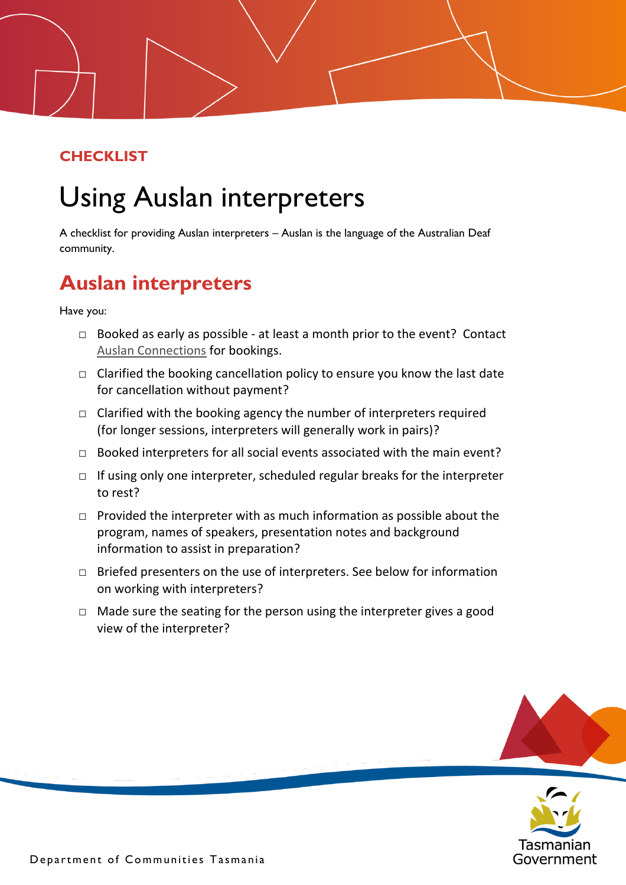## **CHECKLIST**

## Using Auslan interpreters

A checklist for providing Auslan interpreters – Auslan is the language of the Australian Deaf community.

## **Auslan interpreters**

Have you:

- $\Box$  Booked as early as possible at least a month prior to the event? Contact [Auslan Connections](http://auslanconnections.com.au/how-to-book/) for bookings.
- $\Box$  Clarified the booking cancellation policy to ensure you know the last date for cancellation without payment?
- $\Box$  Clarified with the booking agency the number of interpreters required (for longer sessions, interpreters will generally work in pairs)?
- $\Box$  Booked interpreters for all social events associated with the main event?
- $\Box$  If using only one interpreter, scheduled regular breaks for the interpreter to rest?
- $\Box$  Provided the interpreter with as much information as possible about the program, names of speakers, presentation notes and background information to assist in preparation?
- □ Briefed presenters on the use of interpreters. See below for information on working with interpreters?
- $\Box$  Made sure the seating for the person using the interpreter gives a good view of the interpreter?